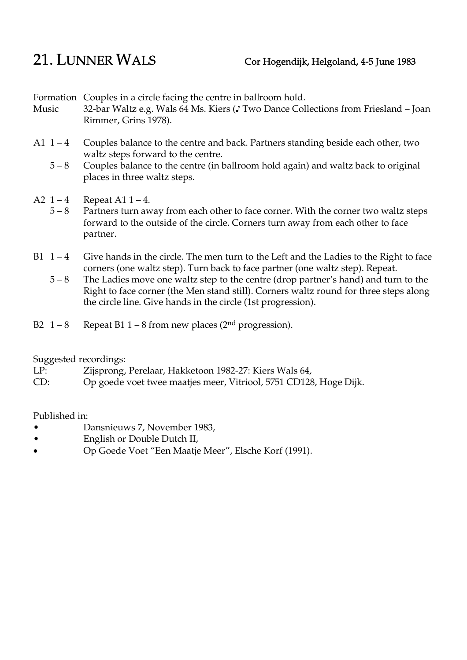Formation Couples in a circle facing the centre in ballroom hold.

- Music 32-bar Waltz e.g. Wals 64 Ms. Kiers (♪ Two Dance Collections from Friesland Joan Rimmer, Grins 1978).
- A1  $1 4$  Couples balance to the centre and back. Partners standing beside each other, two waltz steps forward to the centre.
	- 5 8 Couples balance to the centre (in ballroom hold again) and waltz back to original places in three waltz steps.
- A2  $1 4$  Repeat A1  $1 4$ .
	- 5 8 Partners turn away from each other to face corner. With the corner two waltz steps forward to the outside of the circle. Corners turn away from each other to face partner.
- B1  $1 4$  Give hands in the circle. The men turn to the Left and the Ladies to the Right to face corners (one waltz step). Turn back to face partner (one waltz step). Repeat.
	- $5 8$  The Ladies move one waltz step to the centre (drop partner's hand) and turn to the Right to face corner (the Men stand still). Corners waltz round for three steps along the circle line. Give hands in the circle (1st progression).
- B2  $1-8$  Repeat B1 1 8 from new places (2<sup>nd</sup> progression).

Suggested recordings:

- LP: Zijsprong, Perelaar, Hakketoon 1982-27: Kiers Wals 64,<br>CD: Op goede voet twee maaties meer, Vitriool, 5751 CD128
- Op goede voet twee maatjes meer, Vitriool, 5751 CD128, Hoge Dijk.

Published in:

- Dansnieuws 7, November 1983,
- English or Double Dutch II,
- Op Goede Voet "Een Maatje Meer‰, Elsche Korf (1991).